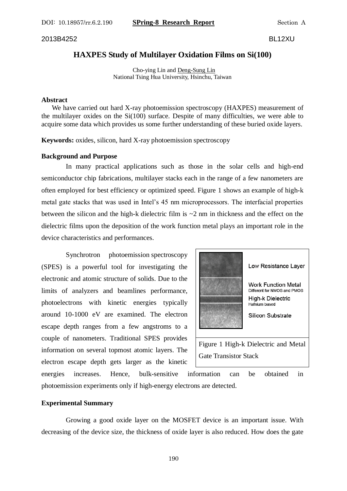DOI: 10.18957/rr.6.2.190 **SPring-8 Research Report** Section A

#### 2013B4252 BL12XU

# **HAXPES Study of Multilayer Oxidation Films on Si(100)**

Cho-ying Lin and Deng-Sung Lin National Tsing Hua University, Hsinchu, Taiwan

#### **Abstract**

We have carried out hard X-ray photoemission spectroscopy (HAXPES) measurement of the multilayer oxides on the  $Si(100)$  surface. Despite of many difficulties, we were able to acquire some data which provides us some further understanding of these buried oxide layers.

**Keywords:** oxides, silicon, hard X-ray photoemission spectroscopy

# **Background and Purpose**

In many practical applications such as those in the solar cells and high-end semiconductor chip fabrications, multilayer stacks each in the range of a few nanometers are often employed for best efficiency or optimized speed. Figure 1 shows an example of high-k metal gate stacks that was used in Intel's 45 nm microprocessors. The interfacial properties between the silicon and the high-k dielectric film is ~2 nm in thickness and the effect on the dielectric films upon the deposition of the work function metal plays an important role in the device characteristics and performances.

Synchrotron photoemission spectroscopy (SPES) is a powerful tool for investigating the electronic and atomic structure of solids. Due to the limits of analyzers and beamlines performance, photoelectrons with kinetic energies typically around 10-1000 eV are examined. The electron escape depth ranges from a few angstroms to a couple of nanometers. Traditional SPES provides information on several topmost atomic layers. The electron escape depth gets larger as the kinetic



Gate Transistor Stack

energies increases. Hence, bulk-sensitive information can be obtained in photoemission experiments only if high-energy electrons are detected.

### **Experimental Summary**

Growing a good oxide layer on the MOSFET device is an important issue. With decreasing of the device size, the thickness of oxide layer is also reduced. How does the gate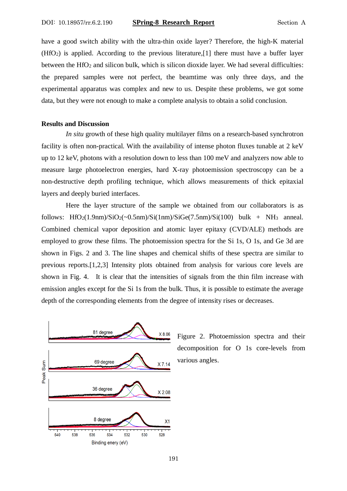have a good switch ability with the ultra-thin oxide layer? Therefore, the high-K material (HfO2) is applied. According to the previous literature,[1] there must have a buffer layer between the  $HfO<sub>2</sub>$  and silicon bulk, which is silicon dioxide layer. We had several difficulties: the prepared samples were not perfect, the beamtime was only three days, and the experimental apparatus was complex and new to us. Despite these problems, we got some data, but they were not enough to make a complete analysis to obtain a solid conclusion.

#### **Results and Discussion**

*In situ* growth of these high quality multilayer films on a research-based synchrotron facility is often non-practical. With the availability of intense photon fluxes tunable at 2 keV up to 12 keV, photons with a resolution down to less than 100 meV and analyzers now able to measure large photoelectron energies, hard X-ray photoemission spectroscopy can be a non-destructive depth profiling technique, which allows measurements of thick epitaxial layers and deeply buried interfaces.

Here the layer structure of the sample we obtained from our collaborators is as follows:  $HfO_2(1.9nm)/SiO_2(-0.5nm)/Si(1nm)/SiGe(7.5nm)/Si(100)$  bulk + NH<sub>3</sub> anneal. Combined chemical vapor deposition and atomic layer epitaxy (CVD/ALE) methods are employed to grow these films. The photoemission spectra for the Si 1s, O 1s, and Ge 3d are shown in Figs. 2 and 3. The line shapes and chemical shifts of these spectra are similar to previous reports.[1,2,3] Intensity plots obtained from analysis for various core levels are shown in Fig. 4. It is clear that the intensities of signals from the thin film increase with emission angles except for the Si 1s from the bulk. Thus, it is possible to estimate the average depth of the corresponding elements from the degree of intensity rises or decreases.



Figure 2. Photoemission spectra and their decomposition for O 1s core-levels from various angles.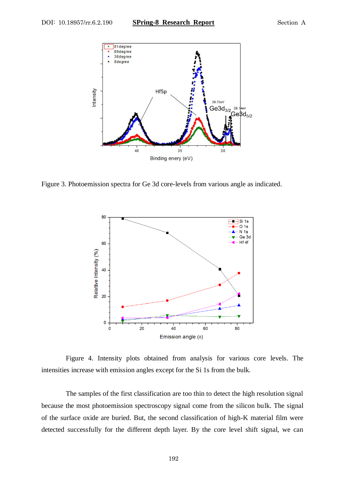

Figure 3. Photoemission spectra for Ge 3d core-levels from various angle as indicated.



Figure 4. Intensity plots obtained from analysis for various core levels. The intensities increase with emission angles except for the Si 1s from the bulk.

The samples of the first classification are too thin to detect the high resolution signal because the most photoemission spectroscopy signal come from the silicon bulk. The signal of the surface oxide are buried. But, the second classification of high-K material film were detected successfully for the different depth layer. By the core level shift signal, we can